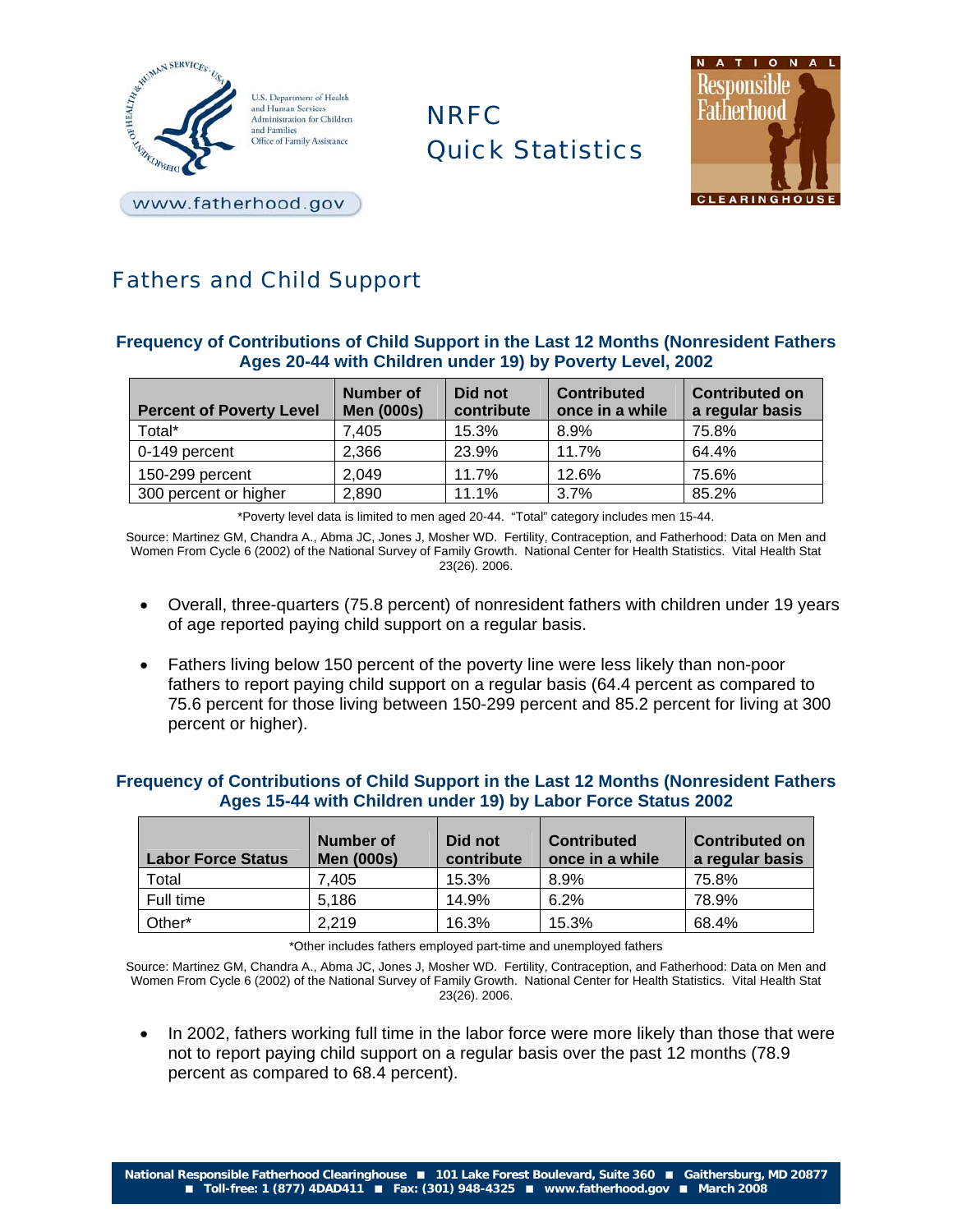

NRFC Quick Statistics



www.fatherhood.gov

# Fathers and Child Support

## **Frequency of Contributions of Child Support in the Last 12 Months (Nonresident Fathers Ages 20-44 with Children under 19) by Poverty Level, 2002**

| <b>Percent of Poverty Level</b> | Number of<br><b>Men (000s)</b> | Did not<br>contribute | <b>Contributed</b><br>once in a while | <b>Contributed on</b><br>a regular basis |
|---------------------------------|--------------------------------|-----------------------|---------------------------------------|------------------------------------------|
| Total*                          | 7.405                          | 15.3%                 | 8.9%                                  | 75.8%                                    |
| 0-149 percent                   | 2,366                          | 23.9%                 | 11.7%                                 | 64.4%                                    |
| 150-299 percent                 | 2,049                          | 11.7%                 | 12.6%                                 | 75.6%                                    |
| 300 percent or higher           | 2,890                          | 11.1%                 | 3.7%                                  | 85.2%                                    |

\*Poverty level data is limited to men aged 20-44. "Total" category includes men 15-44.

Source: Martinez GM, Chandra A., Abma JC, Jones J, Mosher WD. Fertility, Contraception, and Fatherhood: Data on Men and Women From Cycle 6 (2002) of the National Survey of Family Growth. National Center for Health Statistics. Vital Health Stat 23(26). 2006.

- Overall, three-quarters (75.8 percent) of nonresident fathers with children under 19 years of age reported paying child support on a regular basis.
- Fathers living below 150 percent of the poverty line were less likely than non-poor fathers to report paying child support on a regular basis (64.4 percent as compared to 75.6 percent for those living between 150-299 percent and 85.2 percent for living at 300 percent or higher).

## **Frequency of Contributions of Child Support in the Last 12 Months (Nonresident Fathers Ages 15-44 with Children under 19) by Labor Force Status 2002**

| <b>Labor Force Status</b> | Number of<br><b>Men (000s)</b> | Did not<br>contribute | <b>Contributed</b><br>once in a while | <b>Contributed on</b><br>a regular basis |
|---------------------------|--------------------------------|-----------------------|---------------------------------------|------------------------------------------|
| Total                     | 7.405                          | 15.3%                 | 8.9%                                  | 75.8%                                    |
| Full time                 | 5,186                          | 14.9%                 | 6.2%                                  | 78.9%                                    |
| Other*                    | 2,219                          | 16.3%                 | 15.3%                                 | 68.4%                                    |

\*Other includes fathers employed part-time and unemployed fathers

Source: Martinez GM, Chandra A., Abma JC, Jones J, Mosher WD. Fertility, Contraception, and Fatherhood: Data on Men and Women From Cycle 6 (2002) of the National Survey of Family Growth. National Center for Health Statistics. Vital Health Stat 23(26). 2006.

• In 2002, fathers working full time in the labor force were more likely than those that were not to report paying child support on a regular basis over the past 12 months (78.9 percent as compared to 68.4 percent).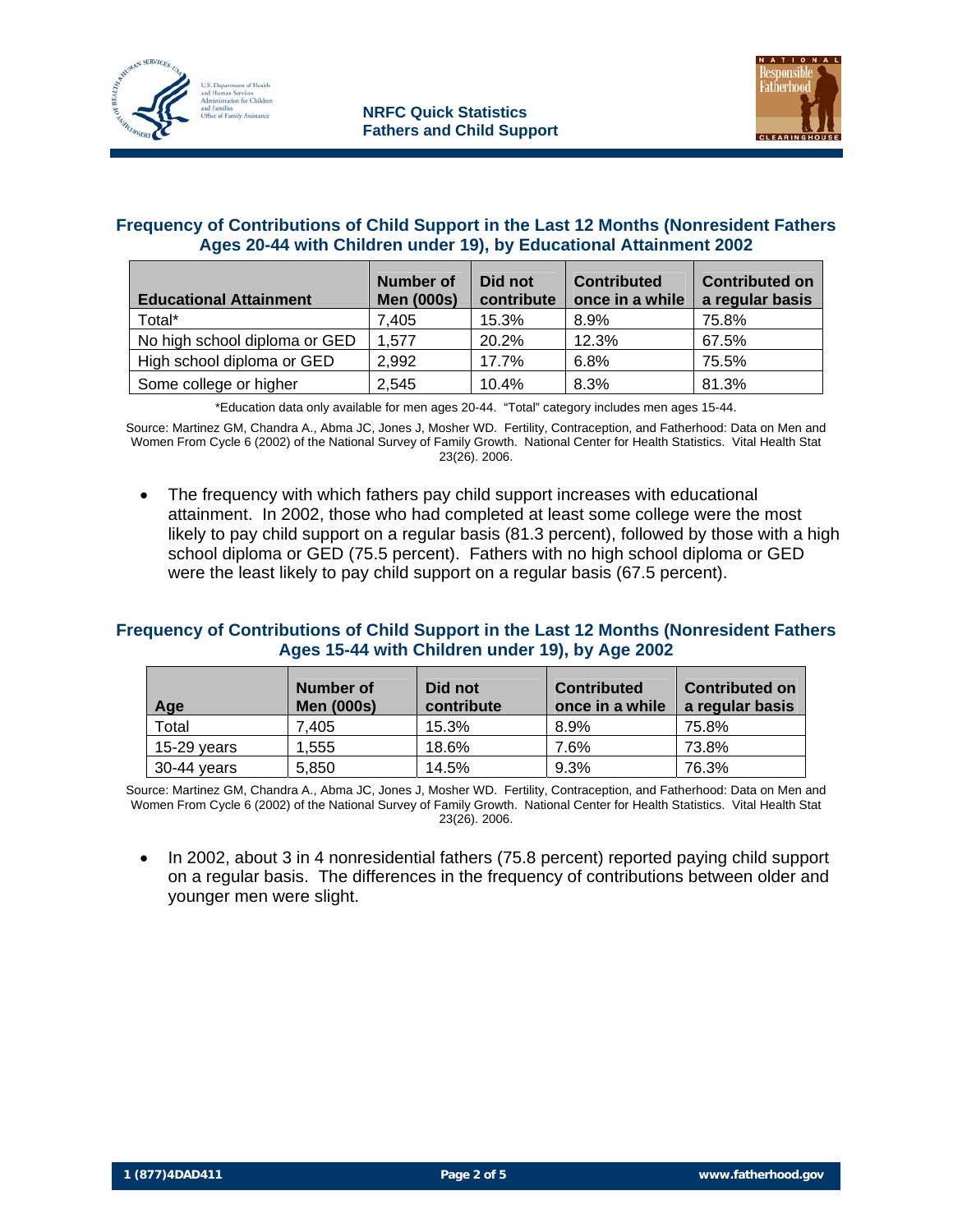



#### **Frequency of Contributions of Child Support in the Last 12 Months (Nonresident Fathers Ages 20-44 with Children under 19), by Educational Attainment 2002**

| <b>Educational Attainment</b> | Number of<br><b>Men (000s)</b> | Did not<br>contribute | <b>Contributed</b><br>once in a while | <b>Contributed on</b><br>a regular basis |
|-------------------------------|--------------------------------|-----------------------|---------------------------------------|------------------------------------------|
| Total*                        | 7.405                          | 15.3%                 | 8.9%                                  | 75.8%                                    |
| No high school diploma or GED | 1.577                          | 20.2%                 | 12.3%                                 | 67.5%                                    |
| High school diploma or GED    | 2,992                          | 17.7%                 | 6.8%                                  | 75.5%                                    |
| Some college or higher        | 2,545                          | 10.4%                 | 8.3%                                  | 81.3%                                    |

\*Education data only available for men ages 20-44. "Total" category includes men ages 15-44.

Source: Martinez GM, Chandra A., Abma JC, Jones J, Mosher WD. Fertility, Contraception, and Fatherhood: Data on Men and Women From Cycle 6 (2002) of the National Survey of Family Growth. National Center for Health Statistics. Vital Health Stat 23(26). 2006.

• The frequency with which fathers pay child support increases with educational attainment. In 2002, those who had completed at least some college were the most likely to pay child support on a regular basis (81.3 percent), followed by those with a high school diploma or GED (75.5 percent). Fathers with no high school diploma or GED were the least likely to pay child support on a regular basis (67.5 percent).

#### **Frequency of Contributions of Child Support in the Last 12 Months (Nonresident Fathers Ages 15-44 with Children under 19), by Age 2002**

| Age           | Number of<br><b>Men (000s)</b> | Did not<br>contribute | <b>Contributed</b><br>once in a while | <b>Contributed on</b><br>a regular basis |
|---------------|--------------------------------|-----------------------|---------------------------------------|------------------------------------------|
| Total         | 7.405                          | 15.3%                 | 8.9%                                  | 75.8%                                    |
| $15-29$ vears | 1.555                          | 18.6%                 | 7.6%                                  | 73.8%                                    |
| 30-44 vears   | 5.850                          | 14.5%                 | 9.3%                                  | 76.3%                                    |

Source: Martinez GM, Chandra A., Abma JC, Jones J, Mosher WD. Fertility, Contraception, and Fatherhood: Data on Men and Women From Cycle 6 (2002) of the National Survey of Family Growth. National Center for Health Statistics. Vital Health Stat 23(26). 2006.

• In 2002, about 3 in 4 nonresidential fathers (75.8 percent) reported paying child support on a regular basis. The differences in the frequency of contributions between older and younger men were slight.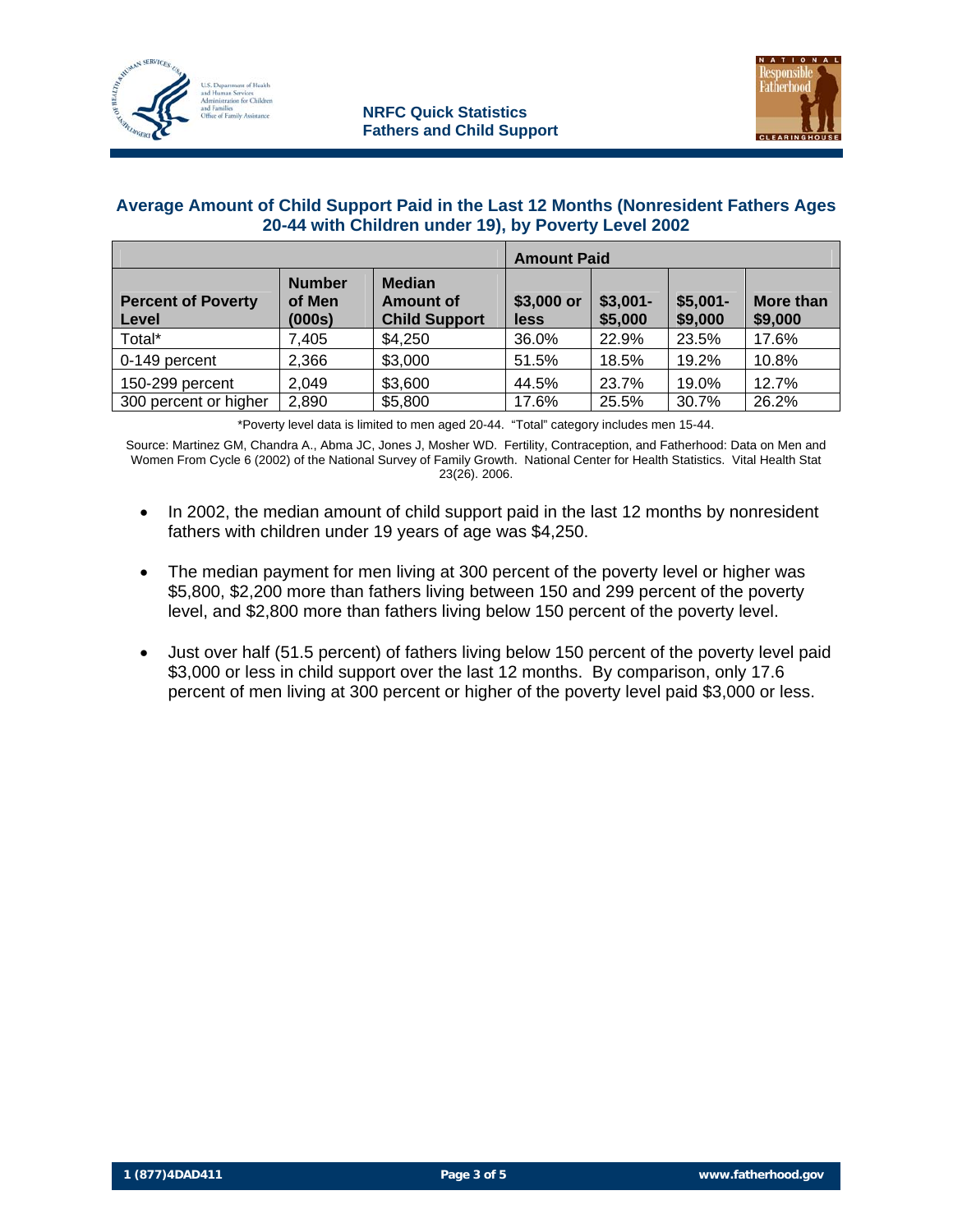



#### **Average Amount of Child Support Paid in the Last 12 Months (Nonresident Fathers Ages 20-44 with Children under 19), by Poverty Level 2002**

|                                    |                                   | <b>Amount Paid</b>                                        |                    |                      |                      |                             |
|------------------------------------|-----------------------------------|-----------------------------------------------------------|--------------------|----------------------|----------------------|-----------------------------|
| <b>Percent of Poverty</b><br>Level | <b>Number</b><br>of Men<br>(000s) | <b>Median</b><br><b>Amount of</b><br><b>Child Support</b> | \$3,000 or<br>less | $$3,001-$<br>\$5,000 | $$5,001-$<br>\$9,000 | <b>More than</b><br>\$9,000 |
| Total*                             | 7,405                             | \$4,250                                                   | 36.0%              | 22.9%                | 23.5%                | 17.6%                       |
| 0-149 percent                      | 2,366                             | \$3,000                                                   | 51.5%              | 18.5%                | 19.2%                | 10.8%                       |
| 150-299 percent                    | 2,049                             | \$3,600                                                   | 44.5%              | 23.7%                | 19.0%                | 12.7%                       |
| 300 percent or higher              | 2,890                             | \$5,800                                                   | 17.6%              | 25.5%                | 30.7%                | 26.2%                       |

\*Poverty level data is limited to men aged 20-44. "Total" category includes men 15-44.

Source: Martinez GM, Chandra A., Abma JC, Jones J, Mosher WD. Fertility, Contraception, and Fatherhood: Data on Men and Women From Cycle 6 (2002) of the National Survey of Family Growth. National Center for Health Statistics. Vital Health Stat 23(26). 2006.

- In 2002, the median amount of child support paid in the last 12 months by nonresident fathers with children under 19 years of age was \$4,250.
- The median payment for men living at 300 percent of the poverty level or higher was \$5,800, \$2,200 more than fathers living between 150 and 299 percent of the poverty level, and \$2,800 more than fathers living below 150 percent of the poverty level.
- Just over half (51.5 percent) of fathers living below 150 percent of the poverty level paid \$3,000 or less in child support over the last 12 months. By comparison, only 17.6 percent of men living at 300 percent or higher of the poverty level paid \$3,000 or less.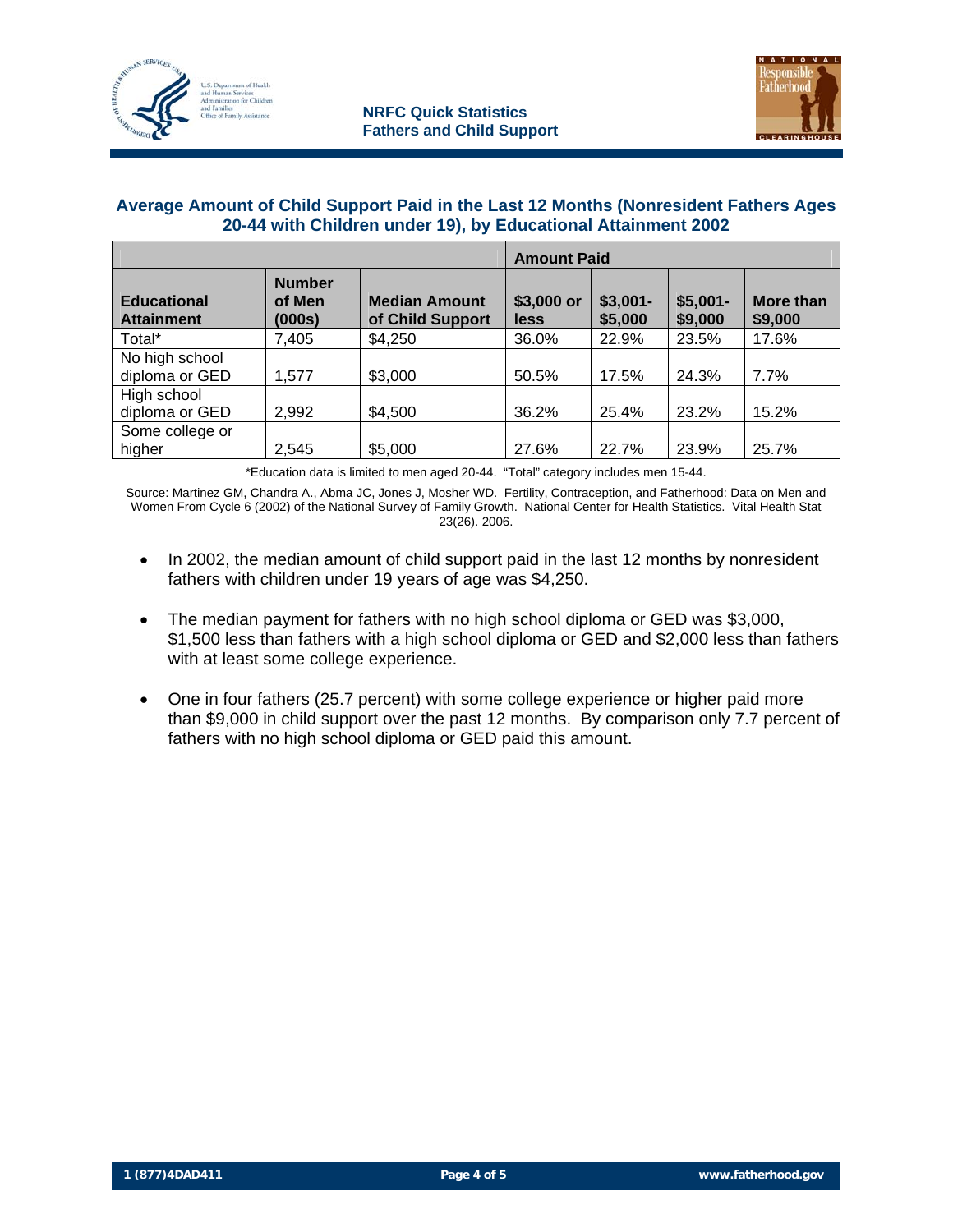



#### **Average Amount of Child Support Paid in the Last 12 Months (Nonresident Fathers Ages 20-44 with Children under 19), by Educational Attainment 2002**

|                                         |                                   |                                          | <b>Amount Paid</b>        |                      |                      |                             |
|-----------------------------------------|-----------------------------------|------------------------------------------|---------------------------|----------------------|----------------------|-----------------------------|
| <b>Educational</b><br><b>Attainment</b> | <b>Number</b><br>of Men<br>(000s) | <b>Median Amount</b><br>of Child Support | \$3,000 or<br><b>less</b> | $$3,001-$<br>\$5,000 | $$5,001-$<br>\$9,000 | <b>More than</b><br>\$9,000 |
| Total*                                  | 7,405                             | \$4,250                                  | 36.0%                     | 22.9%                | 23.5%                | 17.6%                       |
| No high school                          |                                   |                                          |                           |                      |                      |                             |
| diploma or GED                          | 1,577                             | \$3,000                                  | 50.5%                     | 17.5%                | 24.3%                | 7.7%                        |
| High school                             |                                   |                                          |                           |                      |                      |                             |
| diploma or GED                          | 2,992                             | \$4,500                                  | 36.2%                     | 25.4%                | 23.2%                | 15.2%                       |
| Some college or                         |                                   |                                          |                           |                      |                      |                             |
| higher                                  | 2,545                             | \$5,000                                  | 27.6%                     | 22.7%                | 23.9%                | 25.7%                       |

\*Education data is limited to men aged 20-44. "Total" category includes men 15-44.

Source: Martinez GM, Chandra A., Abma JC, Jones J, Mosher WD. Fertility, Contraception, and Fatherhood: Data on Men and Women From Cycle 6 (2002) of the National Survey of Family Growth. National Center for Health Statistics. Vital Health Stat 23(26). 2006.

- In 2002, the median amount of child support paid in the last 12 months by nonresident fathers with children under 19 years of age was \$4,250.
- The median payment for fathers with no high school diploma or GED was \$3,000, \$1,500 less than fathers with a high school diploma or GED and \$2,000 less than fathers with at least some college experience.
- One in four fathers (25.7 percent) with some college experience or higher paid more than \$9,000 in child support over the past 12 months. By comparison only 7.7 percent of fathers with no high school diploma or GED paid this amount.